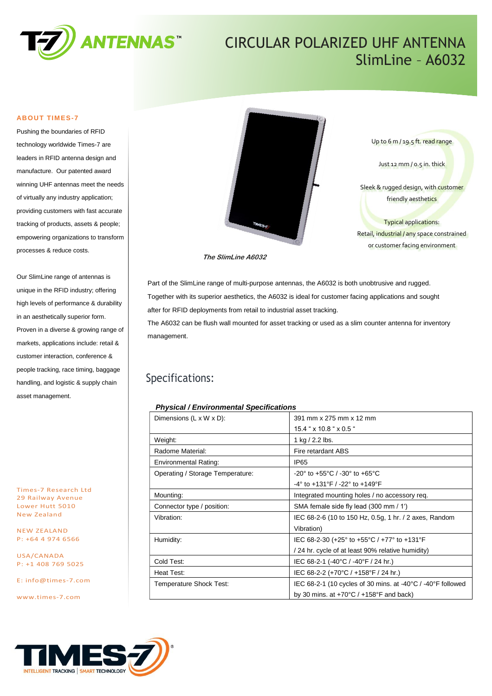

## CIRCULAR POLARIZED UHF ANTENNA SlimLine – A6032

#### **ABOUT TIMES-7**

Pushing the boundaries of RFID technology worldwide Times-7 are leaders in RFID antenna design and manufacture. Our patented award winning UHF antennas meet the needs of virtually any industry application; providing customers with fast accurate tracking of products, assets & people; empowering organizations to transform processes & reduce costs.

Our SlimLine range of antennas is unique in the RFID industry; offering high levels of performance & durability in an aesthetically superior form. Proven in a diverse & growing range of markets, applications include: retail & customer interaction, conference & people tracking, race timing, baggage handling, and logistic & supply chain asset management.

Times-7 Research Ltd 29 Railway Avenue Lower Hutt 5010 New Zealand

NEW ZEALAND P: +64 4 974 6566

USA/CANADA P: +1 408 769 5025

E: [info@times-7.com](mailto:info@times-7.com)

www.times-7.com



Up to 6 m / 19.5 ft. read range

Just 12 mm / 0.5 in. thick

Sleek & rugged design, with customer friendly aesthetics

Typical applications: Retail, industrial / any space constrained or customer facing environment

**The SlimLine A6032**

Part of the SlimLine range of multi-purpose antennas, the A6032 is both unobtrusive and rugged. Together with its superior aesthetics, the A6032 is ideal for customer facing applications and sought after for RFID deployments from retail to industrial asset tracking.

The A6032 can be flush wall mounted for asset tracking or used as a slim counter antenna for inventory management.

## Specifications:

#### *Physical / Environmental Specifications*

| Dimensions $(L \times W \times D)$ : | 391 mm x 275 mm x 12 mm                                                               |  |
|--------------------------------------|---------------------------------------------------------------------------------------|--|
|                                      | $15.4$ " $\times$ 10.8 " $\times$ 0.5 "                                               |  |
| Weight:                              | 1 kg / 2.2 lbs.                                                                       |  |
| Radome Material:                     | Fire retardant ABS                                                                    |  |
| <b>Environmental Rating:</b>         | <b>IP65</b>                                                                           |  |
| Operating / Storage Temperature:     | -20° to +55°C / -30° to +65°C                                                         |  |
|                                      | $-4^{\circ}$ to $+131^{\circ}$ F / $-22^{\circ}$ to $+149^{\circ}$ F                  |  |
| Mounting:                            | Integrated mounting holes / no accessory req.                                         |  |
| Connector type / position:           | SMA female side fly lead (300 mm / 1')                                                |  |
| Vibration:                           | IEC 68-2-6 (10 to 150 Hz, 0.5g, 1 hr. / 2 axes, Random                                |  |
|                                      | Vibration)                                                                            |  |
| Humidity:                            | IEC 68-2-30 (+25 $^{\circ}$ to +55 $^{\circ}$ C / +77 $^{\circ}$ to +131 $^{\circ}$ F |  |
|                                      | / 24 hr. cycle of at least 90% relative humidity)                                     |  |
| Cold Test:                           | IEC 68-2-1 (-40°C / -40°F / 24 hr.)                                                   |  |
| Heat Test:                           | IEC 68-2-2 (+70°C / +158°F / 24 hr.)                                                  |  |
| Temperature Shock Test:              | IEC 68-2-1 (10 cycles of 30 mins. at -40 $\degree$ C / -40 $\degree$ F followed       |  |
|                                      | by 30 mins. at $+70^{\circ}$ C / $+158^{\circ}$ F and back)                           |  |